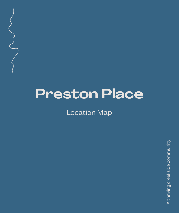# **Preston Place**

Location Map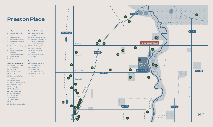# **Preston Place**

#### **Amenity**

- 1. Northland Shopping **Centre**
- 2. Preston Market
- 3. Bunnings Warehouse
- 4. Summerhill Shopping **Centre**
- **Centre**
- 6. Studio Eve Women's Wellbeing
- 7. CorePlus Pilates/Yoga
- 8. Primal Moves
- 9. Anytime Fitness
- **Cafés and Restaurants**
- 10. Boundary Espresso
- 11. Moon Rabbit
- 12. S M Cafe
- 13. Little Henri Cafe
- 14. Arepa Days
- 15. Contraband Coffee **Traders**
- 16. Ragtime Tavern
- 17. Surly's Bar and Garden
- 18. Tallboy and Moose
- 19. Stray Neighbour
- 20. This Borderland
- 21. Hard Rubbish Bar
- 22. Jamsheed Wines
- 23. The Raccoon Club
- 24. Eat Connoli
- 25. Moondog World
- 26. Benzina Cantina
- 27. Den Deke Japanese Bar

## 5. Preston South Shopping 32. Parade College Preston **Schools & University** 28. Preston North East Primary 29. Reservoir High School 30. Northern College of the Arts and Technology 31. La Trobe University 33. Yarra Me School 34. St John's College Preston 35. East Preston Islamic College



### **Parks**

36. W Ruthven Vc Reserve 37. T W Blake Park 38. Olympic Park 39. Olympic Park — Dog Off Leash Area 40. CH Sullivan Memorial Park